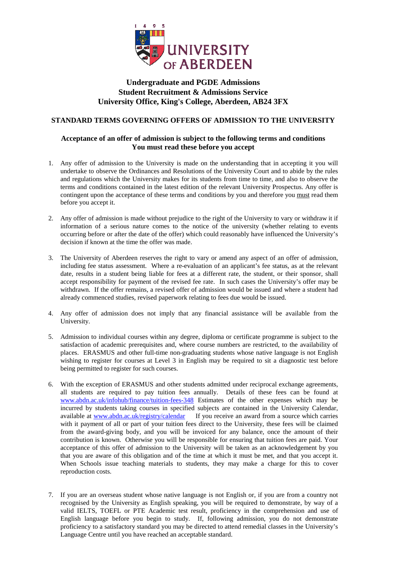

## **Undergraduate and PGDE Admissions Student Recruitment & Admissions Service University Office, King's College, Aberdeen, AB24 3FX**

## **STANDARD TERMS GOVERNING OFFERS OF ADMISSION TO THE UNIVERSITY**

## **Acceptance of an offer of admission is subject to the following terms and conditions You must read these before you accept**

- 1. Any offer of admission to the University is made on the understanding that in accepting it you will undertake to observe the Ordinances and Resolutions of the University Court and to abide by the rules and regulations which the University makes for its students from time to time, and also to observe the terms and conditions contained in the latest edition of the relevant University Prospectus. Any offer is contingent upon the acceptance of these terms and conditions by you and therefore you must read them before you accept it.
- 2. Any offer of admission is made without prejudice to the right of the University to vary or withdraw it if information of a serious nature comes to the notice of the university (whether relating to events occurring before or after the date of the offer) which could reasonably have influenced the University's decision if known at the time the offer was made.
- 3. The University of Aberdeen reserves the right to vary or amend any aspect of an offer of admission, including fee status assessment. Where a re-evaluation of an applicant's fee status, as at the relevant date, results in a student being liable for fees at a different rate, the student, or their sponsor, shall accept responsibility for payment of the revised fee rate. In such cases the University's offer may be withdrawn. If the offer remains, a revised offer of admission would be issued and where a student had already commenced studies, revised paperwork relating to fees due would be issued.
- 4. Any offer of admission does not imply that any financial assistance will be available from the University.
- 5. Admission to individual courses within any degree, diploma or certificate programme is subject to the satisfaction of academic prerequisites and, where course numbers are restricted, to the availability of places. ERASMUS and other full-time non-graduating students whose native language is not English wishing to register for courses at Level 3 in English may be required to sit a diagnostic test before being permitted to register for such courses.
- 6. With the exception of ERASMUS and other students admitted under reciprocal exchange agreements, all students are required to pay tuition fees annually. Details of these fees can be found at [www.abdn.ac.uk/infohub/finance/tuition-fees-348](http://www.abdn.ac.uk/infohub/finance/tuition-fees-348) Estimates of the other expenses which may be incurred by students taking courses in specified subjects are contained in the University Calendar, available at [www.abdn.ac.uk/registry/calendar](http://www.abdn.ac.uk/registry/calendar) If you receive an award from a source which carries with it payment of all or part of your tuition fees direct to the University, these fees will be claimed from the award-giving body, and you will be invoiced for any balance, once the amount of their contribution is known. Otherwise you will be responsible for ensuring that tuition fees are paid. Your acceptance of this offer of admission to the University will be taken as an acknowledgement by you that you are aware of this obligation and of the time at which it must be met, and that you accept it. When Schools issue teaching materials to students, they may make a charge for this to cover reproduction costs.
- 7. If you are an overseas student whose native language is not English or, if you are from a country not recognised by the University as English speaking, you will be required to demonstrate, by way of a valid IELTS, TOEFL or PTE Academic test result, proficiency in the comprehension and use of English language before you begin to study. If, following admission, you do not demonstrate proficiency to a satisfactory standard you may be directed to attend remedial classes in the University's Language Centre until you have reached an acceptable standard.